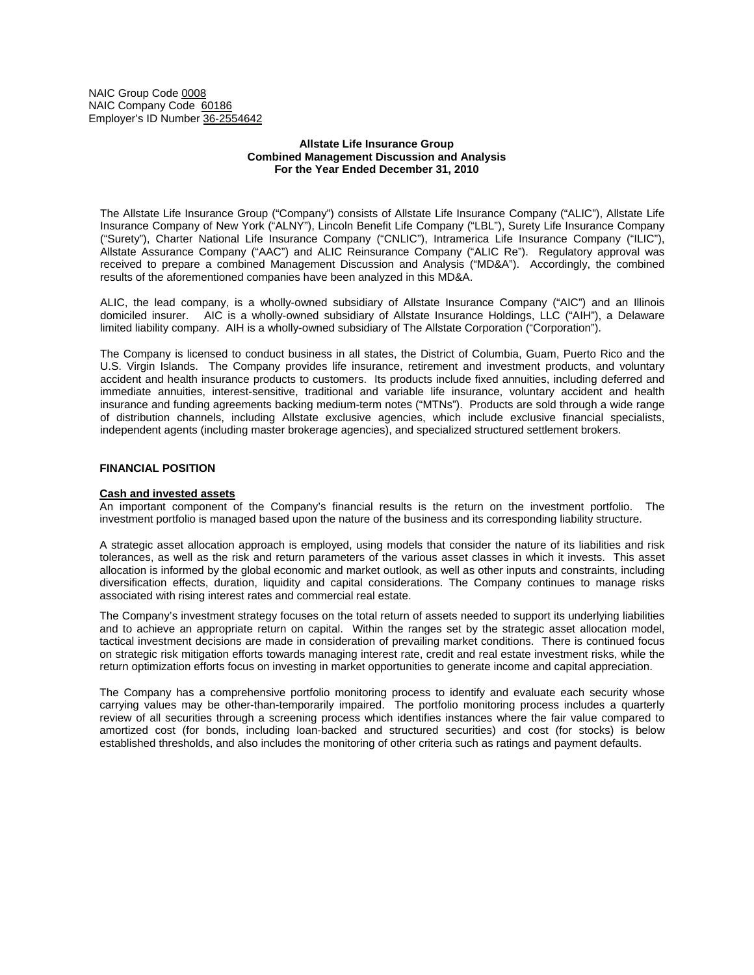NAIC Group Code 0008 NAIC Company Code 60186 Employer's ID Number 36-2554642

### **Allstate Life Insurance Group Combined Management Discussion and Analysis For the Year Ended December 31, 2010**

The Allstate Life Insurance Group ("Company") consists of Allstate Life Insurance Company ("ALIC"), Allstate Life Insurance Company of New York ("ALNY"), Lincoln Benefit Life Company ("LBL"), Surety Life Insurance Company ("Surety"), Charter National Life Insurance Company ("CNLIC"), Intramerica Life Insurance Company ("ILIC"), Allstate Assurance Company ("AAC") and ALIC Reinsurance Company ("ALIC Re"). Regulatory approval was received to prepare a combined Management Discussion and Analysis ("MD&A"). Accordingly, the combined results of the aforementioned companies have been analyzed in this MD&A.

ALIC, the lead company, is a wholly-owned subsidiary of Allstate Insurance Company ("AIC") and an Illinois domiciled insurer. AIC is a wholly-owned subsidiary of Allstate Insurance Holdings, LLC ("AIH"), a Delaware limited liability company. AIH is a wholly-owned subsidiary of The Allstate Corporation ("Corporation").

The Company is licensed to conduct business in all states, the District of Columbia, Guam, Puerto Rico and the U.S. Virgin Islands. The Company provides life insurance, retirement and investment products, and voluntary accident and health insurance products to customers. Its products include fixed annuities, including deferred and immediate annuities, interest-sensitive, traditional and variable life insurance, voluntary accident and health insurance and funding agreements backing medium-term notes ("MTNs"). Products are sold through a wide range of distribution channels, including Allstate exclusive agencies, which include exclusive financial specialists, independent agents (including master brokerage agencies), and specialized structured settlement brokers.

### **FINANCIAL POSITION**

### **Cash and invested assets**

An important component of the Company's financial results is the return on the investment portfolio. The investment portfolio is managed based upon the nature of the business and its corresponding liability structure.

A strategic asset allocation approach is employed, using models that consider the nature of its liabilities and risk tolerances, as well as the risk and return parameters of the various asset classes in which it invests. This asset allocation is informed by the global economic and market outlook, as well as other inputs and constraints, including diversification effects, duration, liquidity and capital considerations. The Company continues to manage risks associated with rising interest rates and commercial real estate.

The Company's investment strategy focuses on the total return of assets needed to support its underlying liabilities and to achieve an appropriate return on capital. Within the ranges set by the strategic asset allocation model, tactical investment decisions are made in consideration of prevailing market conditions. There is continued focus on strategic risk mitigation efforts towards managing interest rate, credit and real estate investment risks, while the return optimization efforts focus on investing in market opportunities to generate income and capital appreciation.

The Company has a comprehensive portfolio monitoring process to identify and evaluate each security whose carrying values may be other-than-temporarily impaired. The portfolio monitoring process includes a quarterly review of all securities through a screening process which identifies instances where the fair value compared to amortized cost (for bonds, including loan-backed and structured securities) and cost (for stocks) is below established thresholds, and also includes the monitoring of other criteria such as ratings and payment defaults.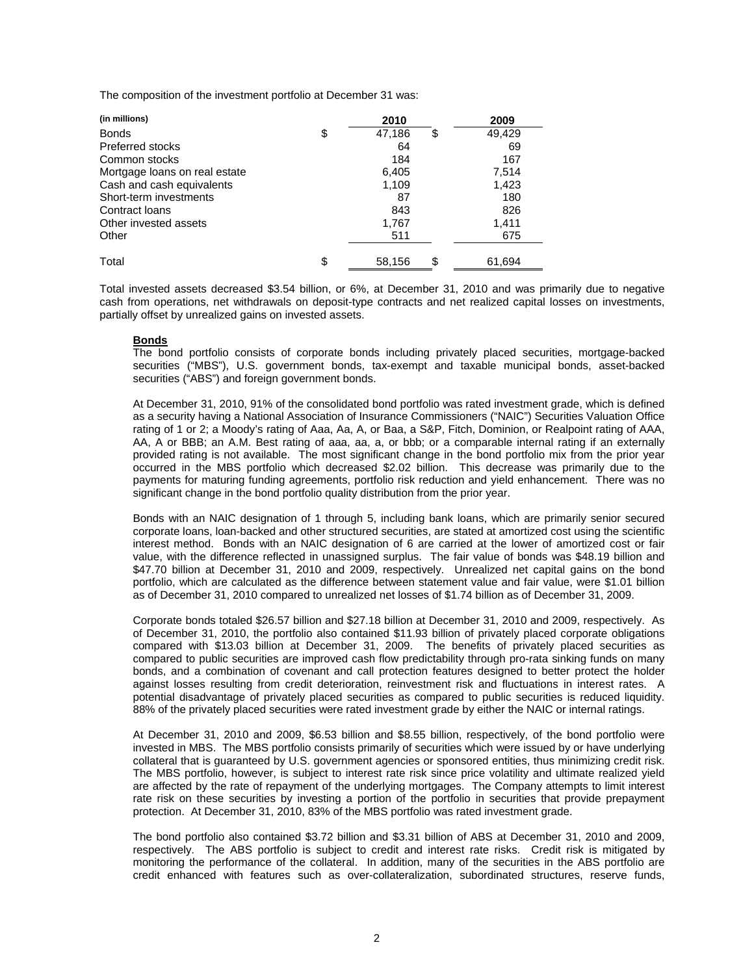The composition of the investment portfolio at December 31 was:

| (in millions)                 | 2010               | 2009   |
|-------------------------------|--------------------|--------|
| <b>Bonds</b>                  | \$<br>47,186<br>\$ | 49,429 |
| <b>Preferred stocks</b>       | 64                 | 69     |
| Common stocks                 | 184                | 167    |
| Mortgage loans on real estate | 6,405              | 7,514  |
| Cash and cash equivalents     | 1,109              | 1,423  |
| Short-term investments        | 87                 | 180    |
| Contract loans                | 843                | 826    |
| Other invested assets         | 1,767              | 1,411  |
| Other                         | 511                | 675    |
| Total                         | \$<br>\$<br>58,156 | 61,694 |

Total invested assets decreased \$3.54 billion, or 6%, at December 31, 2010 and was primarily due to negative cash from operations, net withdrawals on deposit-type contracts and net realized capital losses on investments, partially offset by unrealized gains on invested assets.

# **Bonds**

The bond portfolio consists of corporate bonds including privately placed securities, mortgage-backed securities ("MBS"), U.S. government bonds, tax-exempt and taxable municipal bonds, asset-backed securities ("ABS") and foreign government bonds.

At December 31, 2010, 91% of the consolidated bond portfolio was rated investment grade, which is defined as a security having a National Association of Insurance Commissioners ("NAIC") Securities Valuation Office rating of 1 or 2; a Moody's rating of Aaa, Aa, A, or Baa, a S&P, Fitch, Dominion, or Realpoint rating of AAA, AA, A or BBB; an A.M. Best rating of aaa, aa, a, or bbb; or a comparable internal rating if an externally provided rating is not available. The most significant change in the bond portfolio mix from the prior year occurred in the MBS portfolio which decreased \$2.02 billion. This decrease was primarily due to the payments for maturing funding agreements, portfolio risk reduction and yield enhancement. There was no significant change in the bond portfolio quality distribution from the prior year.

Bonds with an NAIC designation of 1 through 5, including bank loans, which are primarily senior secured corporate loans, loan-backed and other structured securities, are stated at amortized cost using the scientific interest method. Bonds with an NAIC designation of 6 are carried at the lower of amortized cost or fair value, with the difference reflected in unassigned surplus. The fair value of bonds was \$48.19 billion and \$47.70 billion at December 31, 2010 and 2009, respectively. Unrealized net capital gains on the bond portfolio, which are calculated as the difference between statement value and fair value, were \$1.01 billion as of December 31, 2010 compared to unrealized net losses of \$1.74 billion as of December 31, 2009.

Corporate bonds totaled \$26.57 billion and \$27.18 billion at December 31, 2010 and 2009, respectively. As of December 31, 2010, the portfolio also contained \$11.93 billion of privately placed corporate obligations compared with \$13.03 billion at December 31, 2009. The benefits of privately placed securities as compared to public securities are improved cash flow predictability through pro-rata sinking funds on many bonds, and a combination of covenant and call protection features designed to better protect the holder against losses resulting from credit deterioration, reinvestment risk and fluctuations in interest rates. A potential disadvantage of privately placed securities as compared to public securities is reduced liquidity. 88% of the privately placed securities were rated investment grade by either the NAIC or internal ratings.

At December 31, 2010 and 2009, \$6.53 billion and \$8.55 billion, respectively, of the bond portfolio were invested in MBS. The MBS portfolio consists primarily of securities which were issued by or have underlying collateral that is guaranteed by U.S. government agencies or sponsored entities, thus minimizing credit risk. The MBS portfolio, however, is subject to interest rate risk since price volatility and ultimate realized yield are affected by the rate of repayment of the underlying mortgages. The Company attempts to limit interest rate risk on these securities by investing a portion of the portfolio in securities that provide prepayment protection. At December 31, 2010, 83% of the MBS portfolio was rated investment grade.

The bond portfolio also contained \$3.72 billion and \$3.31 billion of ABS at December 31, 2010 and 2009, respectively. The ABS portfolio is subject to credit and interest rate risks. Credit risk is mitigated by monitoring the performance of the collateral. In addition, many of the securities in the ABS portfolio are credit enhanced with features such as over-collateralization, subordinated structures, reserve funds,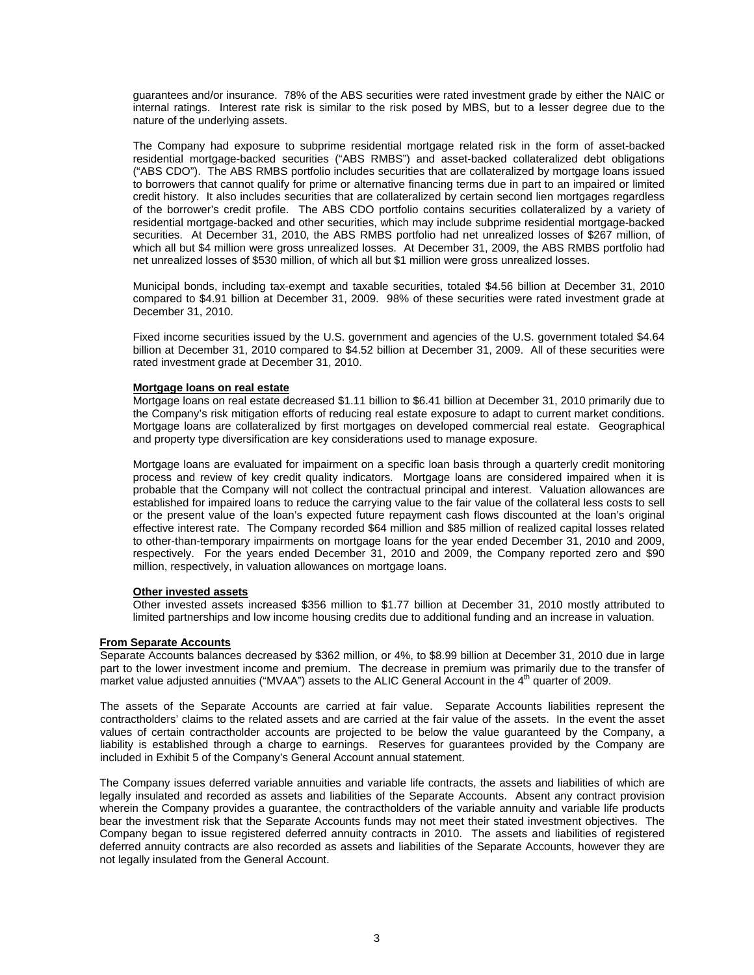guarantees and/or insurance. 78% of the ABS securities were rated investment grade by either the NAIC or internal ratings. Interest rate risk is similar to the risk posed by MBS, but to a lesser degree due to the nature of the underlying assets.

The Company had exposure to subprime residential mortgage related risk in the form of asset-backed residential mortgage-backed securities ("ABS RMBS") and asset-backed collateralized debt obligations ("ABS CDO"). The ABS RMBS portfolio includes securities that are collateralized by mortgage loans issued to borrowers that cannot qualify for prime or alternative financing terms due in part to an impaired or limited credit history. It also includes securities that are collateralized by certain second lien mortgages regardless of the borrower's credit profile. The ABS CDO portfolio contains securities collateralized by a variety of residential mortgage-backed and other securities, which may include subprime residential mortgage-backed securities. At December 31, 2010, the ABS RMBS portfolio had net unrealized losses of \$267 million, of which all but \$4 million were gross unrealized losses. At December 31, 2009, the ABS RMBS portfolio had net unrealized losses of \$530 million, of which all but \$1 million were gross unrealized losses.

Municipal bonds, including tax-exempt and taxable securities, totaled \$4.56 billion at December 31, 2010 compared to \$4.91 billion at December 31, 2009. 98% of these securities were rated investment grade at December 31, 2010.

Fixed income securities issued by the U.S. government and agencies of the U.S. government totaled \$4.64 billion at December 31, 2010 compared to \$4.52 billion at December 31, 2009. All of these securities were rated investment grade at December 31, 2010.

### **Mortgage loans on real estate**

Mortgage loans on real estate decreased \$1.11 billion to \$6.41 billion at December 31, 2010 primarily due to the Company's risk mitigation efforts of reducing real estate exposure to adapt to current market conditions. Mortgage loans are collateralized by first mortgages on developed commercial real estate. Geographical and property type diversification are key considerations used to manage exposure.

Mortgage loans are evaluated for impairment on a specific loan basis through a quarterly credit monitoring process and review of key credit quality indicators. Mortgage loans are considered impaired when it is probable that the Company will not collect the contractual principal and interest. Valuation allowances are established for impaired loans to reduce the carrying value to the fair value of the collateral less costs to sell or the present value of the loan's expected future repayment cash flows discounted at the loan's original effective interest rate. The Company recorded \$64 million and \$85 million of realized capital losses related to other-than-temporary impairments on mortgage loans for the year ended December 31, 2010 and 2009, respectively. For the years ended December 31, 2010 and 2009, the Company reported zero and \$90 million, respectively, in valuation allowances on mortgage loans.

# **Other invested assets**

Other invested assets increased \$356 million to \$1.77 billion at December 31, 2010 mostly attributed to limited partnerships and low income housing credits due to additional funding and an increase in valuation.

# **From Separate Accounts**

Separate Accounts balances decreased by \$362 million, or 4%, to \$8.99 billion at December 31, 2010 due in large part to the lower investment income and premium. The decrease in premium was primarily due to the transfer of market value adjusted annuities ("MVAA") assets to the ALIC General Account in the 4<sup>th</sup> quarter of 2009.

The assets of the Separate Accounts are carried at fair value. Separate Accounts liabilities represent the contractholders' claims to the related assets and are carried at the fair value of the assets. In the event the asset values of certain contractholder accounts are projected to be below the value guaranteed by the Company, a liability is established through a charge to earnings. Reserves for guarantees provided by the Company are included in Exhibit 5 of the Company's General Account annual statement.

The Company issues deferred variable annuities and variable life contracts, the assets and liabilities of which are legally insulated and recorded as assets and liabilities of the Separate Accounts. Absent any contract provision wherein the Company provides a guarantee, the contractholders of the variable annuity and variable life products bear the investment risk that the Separate Accounts funds may not meet their stated investment objectives. The Company began to issue registered deferred annuity contracts in 2010. The assets and liabilities of registered deferred annuity contracts are also recorded as assets and liabilities of the Separate Accounts, however they are not legally insulated from the General Account.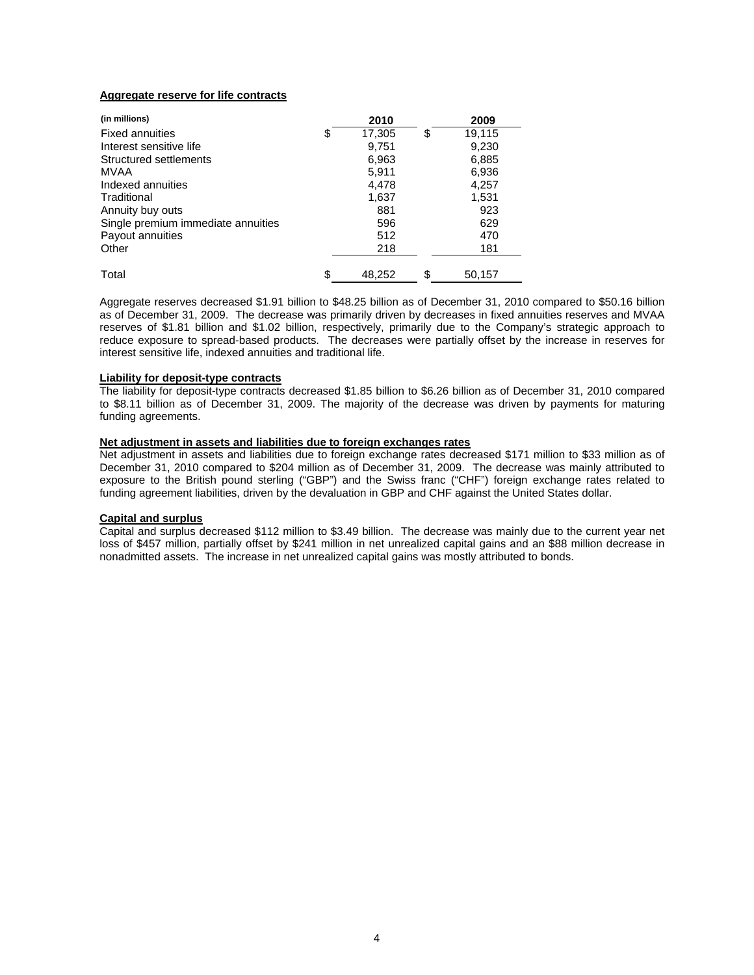# **Aggregate reserve for life contracts**

| (in millions)                      | 2010         | 2009         |
|------------------------------------|--------------|--------------|
| <b>Fixed annuities</b>             | \$<br>17,305 | \$<br>19,115 |
| Interest sensitive life            | 9,751        | 9,230        |
| Structured settlements             | 6,963        | 6,885        |
| MVAA                               | 5,911        | 6,936        |
| Indexed annuities                  | 4,478        | 4,257        |
| Traditional                        | 1,637        | 1,531        |
| Annuity buy outs                   | 881          | 923          |
| Single premium immediate annuities | 596          | 629          |
| Payout annuities                   | 512          | 470          |
| Other                              | 218          | 181          |
| Total                              | \$<br>48.252 | \$<br>50,157 |

Aggregate reserves decreased \$1.91 billion to \$48.25 billion as of December 31, 2010 compared to \$50.16 billion as of December 31, 2009. The decrease was primarily driven by decreases in fixed annuities reserves and MVAA reserves of \$1.81 billion and \$1.02 billion, respectively, primarily due to the Company's strategic approach to reduce exposure to spread-based products. The decreases were partially offset by the increase in reserves for interest sensitive life, indexed annuities and traditional life.

# **Liability for deposit-type contracts**

The liability for deposit-type contracts decreased \$1.85 billion to \$6.26 billion as of December 31, 2010 compared to \$8.11 billion as of December 31, 2009. The majority of the decrease was driven by payments for maturing funding agreements.

### **Net adjustment in assets and liabilities due to foreign exchanges rates**

Net adjustment in assets and liabilities due to foreign exchange rates decreased \$171 million to \$33 million as of December 31, 2010 compared to \$204 million as of December 31, 2009. The decrease was mainly attributed to exposure to the British pound sterling ("GBP") and the Swiss franc ("CHF") foreign exchange rates related to funding agreement liabilities, driven by the devaluation in GBP and CHF against the United States dollar.

#### **Capital and surplus**

Capital and surplus decreased \$112 million to \$3.49 billion. The decrease was mainly due to the current year net loss of \$457 million, partially offset by \$241 million in net unrealized capital gains and an \$88 million decrease in nonadmitted assets. The increase in net unrealized capital gains was mostly attributed to bonds.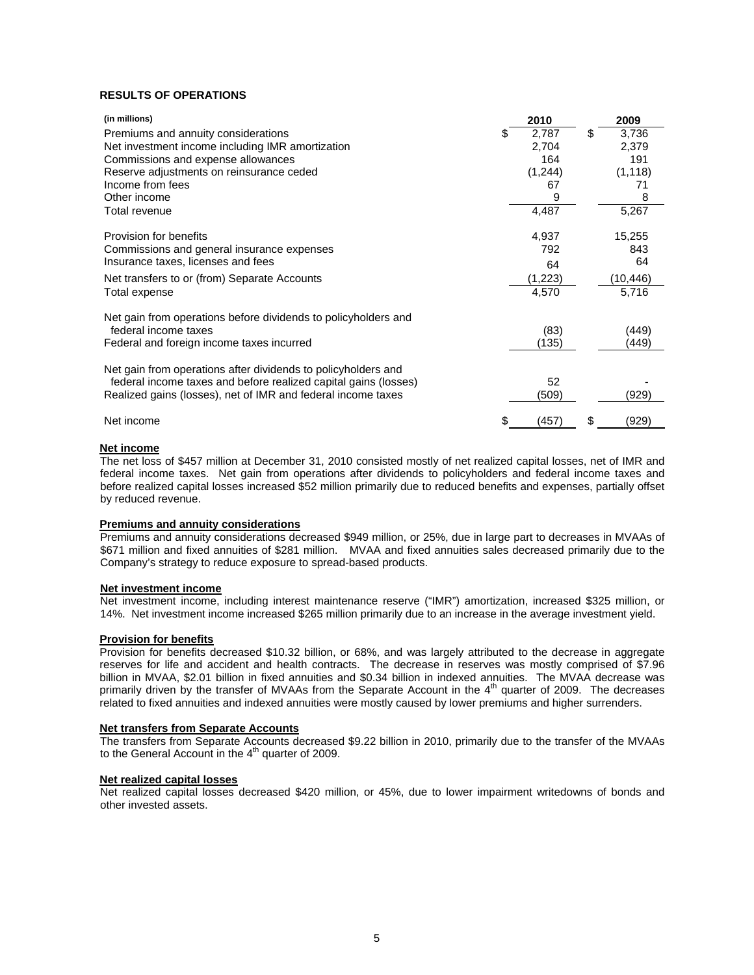# **RESULTS OF OPERATIONS**

| (in millions)                                                                          | 2010        | 2009        |
|----------------------------------------------------------------------------------------|-------------|-------------|
| Premiums and annuity considerations                                                    | \$<br>2,787 | \$<br>3,736 |
| Net investment income including IMR amortization                                       | 2,704       | 2,379       |
| Commissions and expense allowances                                                     | 164         | 191         |
| Reserve adjustments on reinsurance ceded                                               | (1,244)     | (1, 118)    |
| Income from fees                                                                       | 67          | 71          |
| Other income                                                                           | 9           | 8           |
| Total revenue                                                                          | 4,487       | 5,267       |
| Provision for benefits                                                                 | 4,937       | 15,255      |
| Commissions and general insurance expenses                                             | 792         | 843         |
| Insurance taxes, licenses and fees                                                     | 64          | 64          |
| Net transfers to or (from) Separate Accounts                                           | (1,223)     | (10,446)    |
| Total expense                                                                          | 4,570       | 5,716       |
| Net gain from operations before dividends to policyholders and<br>federal income taxes | (83)        | (449)       |
| Federal and foreign income taxes incurred                                              | (135)       | (449)       |
| Net gain from operations after dividends to policyholders and                          |             |             |
| federal income taxes and before realized capital gains (losses)                        | 52          |             |
| Realized gains (losses), net of IMR and federal income taxes                           | (509)       | (929)       |
| Net income                                                                             | (457)       | \$<br>(929) |

#### **Net income**

The net loss of \$457 million at December 31, 2010 consisted mostly of net realized capital losses, net of IMR and federal income taxes. Net gain from operations after dividends to policyholders and federal income taxes and before realized capital losses increased \$52 million primarily due to reduced benefits and expenses, partially offset by reduced revenue.

#### **Premiums and annuity considerations**

Premiums and annuity considerations decreased \$949 million, or 25%, due in large part to decreases in MVAAs of \$671 million and fixed annuities of \$281 million. MVAA and fixed annuities sales decreased primarily due to the Company's strategy to reduce exposure to spread-based products.

### **Net investment income**

Net investment income, including interest maintenance reserve ("IMR") amortization, increased \$325 million, or 14%. Net investment income increased \$265 million primarily due to an increase in the average investment yield.

# **Provision for benefits**

Provision for benefits decreased \$10.32 billion, or 68%, and was largely attributed to the decrease in aggregate reserves for life and accident and health contracts. The decrease in reserves was mostly comprised of \$7.96 billion in MVAA, \$2.01 billion in fixed annuities and \$0.34 billion in indexed annuities. The MVAA decrease was primarily driven by the transfer of MVAAs from the Separate Account in the 4<sup>th</sup> quarter of 2009. The decreases related to fixed annuities and indexed annuities were mostly caused by lower premiums and higher surrenders.

# **Net transfers from Separate Accounts**

The transfers from Separate Accounts decreased \$9.22 billion in 2010, primarily due to the transfer of the MVAAs to the General Account in the 4<sup>th</sup> quarter of 2009.

#### **Net realized capital losses**

Net realized capital losses decreased \$420 million, or 45%, due to lower impairment writedowns of bonds and other invested assets.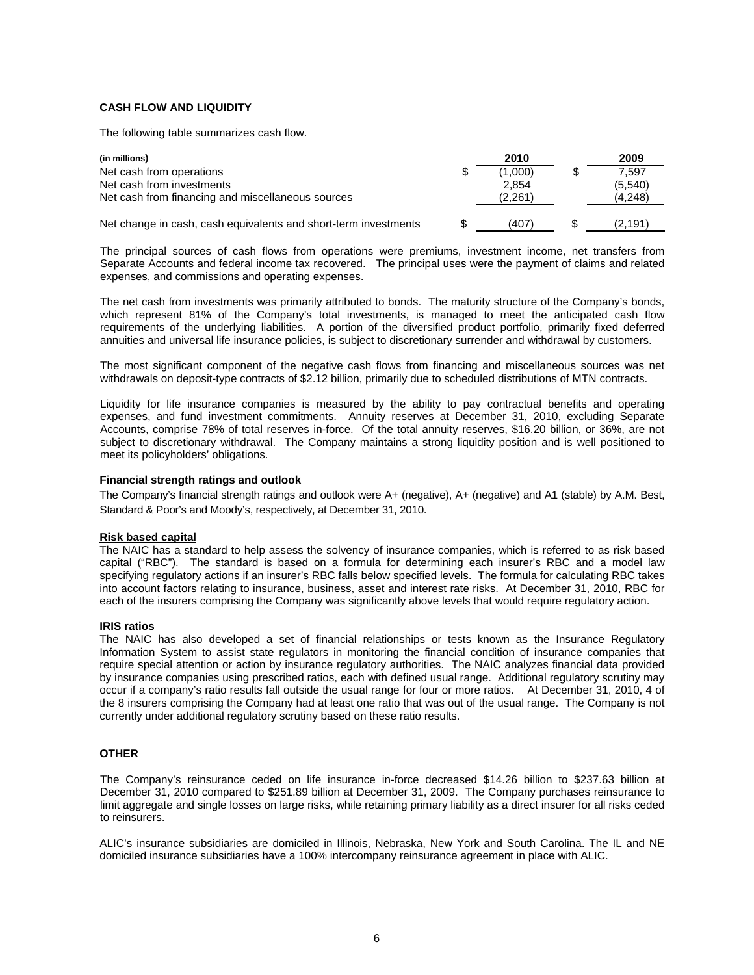### **CASH FLOW AND LIQUIDITY**

The following table summarizes cash flow.

| (in millions)                                                                  | 2010             | 2009               |
|--------------------------------------------------------------------------------|------------------|--------------------|
| Net cash from operations                                                       | \$<br>(1.000)    | 7.597              |
| Net cash from investments<br>Net cash from financing and miscellaneous sources | 2.854<br>(2.261) | (5.540)<br>(4,248) |
| Net change in cash, cash equivalents and short-term investments                | \$<br>(407)      | (2.191)            |

The principal sources of cash flows from operations were premiums, investment income, net transfers from Separate Accounts and federal income tax recovered. The principal uses were the payment of claims and related expenses, and commissions and operating expenses.

The net cash from investments was primarily attributed to bonds. The maturity structure of the Company's bonds, which represent 81% of the Company's total investments, is managed to meet the anticipated cash flow requirements of the underlying liabilities. A portion of the diversified product portfolio, primarily fixed deferred annuities and universal life insurance policies, is subject to discretionary surrender and withdrawal by customers.

The most significant component of the negative cash flows from financing and miscellaneous sources was net withdrawals on deposit-type contracts of \$2.12 billion, primarily due to scheduled distributions of MTN contracts.

Liquidity for life insurance companies is measured by the ability to pay contractual benefits and operating expenses, and fund investment commitments. Annuity reserves at December 31, 2010, excluding Separate Accounts, comprise 78% of total reserves in-force. Of the total annuity reserves, \$16.20 billion, or 36%, are not subject to discretionary withdrawal. The Company maintains a strong liquidity position and is well positioned to meet its policyholders' obligations.

### **Financial strength ratings and outlook**

The Company's financial strength ratings and outlook were A+ (negative), A+ (negative) and A1 (stable) by A.M. Best, Standard & Poor's and Moody's, respectively, at December 31, 2010.

#### **Risk based capital**

The NAIC has a standard to help assess the solvency of insurance companies, which is referred to as risk based capital ("RBC"). The standard is based on a formula for determining each insurer's RBC and a model law specifying regulatory actions if an insurer's RBC falls below specified levels. The formula for calculating RBC takes into account factors relating to insurance, business, asset and interest rate risks. At December 31, 2010, RBC for each of the insurers comprising the Company was significantly above levels that would require regulatory action.

#### **IRIS ratios**

The NAIC has also developed a set of financial relationships or tests known as the Insurance Regulatory Information System to assist state regulators in monitoring the financial condition of insurance companies that require special attention or action by insurance regulatory authorities. The NAIC analyzes financial data provided by insurance companies using prescribed ratios, each with defined usual range. Additional regulatory scrutiny may occur if a company's ratio results fall outside the usual range for four or more ratios. At December 31, 2010, 4 of the 8 insurers comprising the Company had at least one ratio that was out of the usual range. The Company is not currently under additional regulatory scrutiny based on these ratio results.

# **OTHER**

The Company's reinsurance ceded on life insurance in-force decreased \$14.26 billion to \$237.63 billion at December 31, 2010 compared to \$251.89 billion at December 31, 2009. The Company purchases reinsurance to limit aggregate and single losses on large risks, while retaining primary liability as a direct insurer for all risks ceded to reinsurers.

ALIC's insurance subsidiaries are domiciled in Illinois, Nebraska, New York and South Carolina. The IL and NE domiciled insurance subsidiaries have a 100% intercompany reinsurance agreement in place with ALIC.